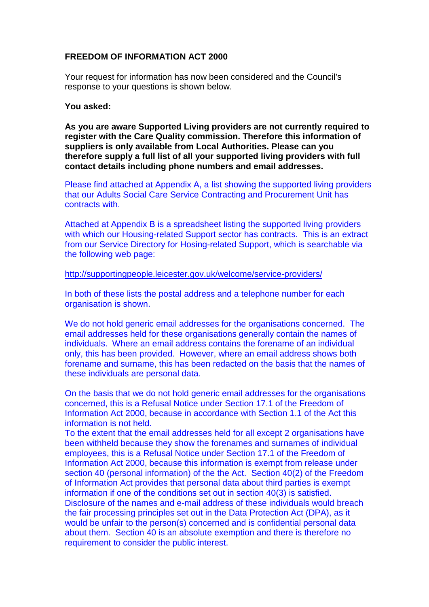## **FREEDOM OF INFORMATION ACT 2000**

Your request for information has now been considered and the Council's response to your questions is shown below.

## **You asked:**

**As you are aware Supported Living providers are not currently required to register with the Care Quality commission. Therefore this information of suppliers is only available from Local Authorities. Please can you therefore supply a full list of all your supported living providers with full contact details including phone numbers and email addresses.**

Please find attached at Appendix A, a list showing the supported living providers that our Adults Social Care Service Contracting and Procurement Unit has contracts with.

Attached at Appendix B is a spreadsheet listing the supported living providers with which our Housing-related Support sector has contracts. This is an extract from our Service Directory for Hosing-related Support, which is searchable via the following web page:

## <http://supportingpeople.leicester.gov.uk/welcome/service-providers/>

In both of these lists the postal address and a telephone number for each organisation is shown.

We do not hold generic email addresses for the organisations concerned. The email addresses held for these organisations generally contain the names of individuals. Where an email address contains the forename of an individual only, this has been provided. However, where an email address shows both forename and surname, this has been redacted on the basis that the names of these individuals are personal data.

On the basis that we do not hold generic email addresses for the organisations concerned, this is a Refusal Notice under Section 17.1 of the Freedom of Information Act 2000, because in accordance with Section 1.1 of the Act this information is not held.

To the extent that the email addresses held for all except 2 organisations have been withheld because they show the forenames and surnames of individual employees, this is a Refusal Notice under Section 17.1 of the Freedom of Information Act 2000, because this information is exempt from release under section 40 (personal information) of the the Act. Section 40(2) of the Freedom of Information Act provides that personal data about third parties is exempt information if one of the conditions set out in section 40(3) is satisfied. Disclosure of the names and e-mail address of these individuals would breach the fair processing principles set out in the Data Protection Act (DPA), as it would be unfair to the person(s) concerned and is confidential personal data about them. Section 40 is an absolute exemption and there is therefore no requirement to consider the public interest.